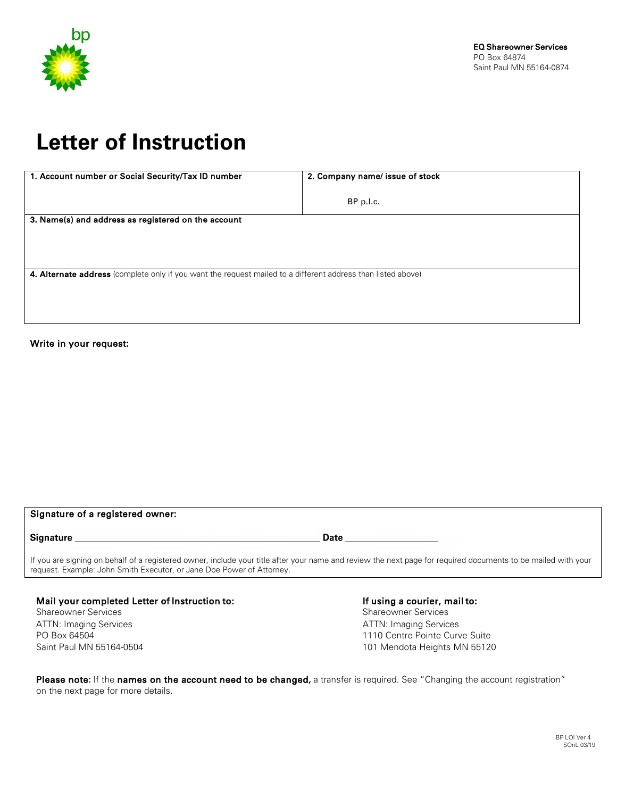

## **Letter of Instruction**

| 1. Account number or Social Security/Tax ID number                                                           | 2. Company name/ issue of stock |
|--------------------------------------------------------------------------------------------------------------|---------------------------------|
|                                                                                                              |                                 |
|                                                                                                              | BP p.l.c.                       |
| 3. Name(s) and address as registered on the account                                                          |                                 |
|                                                                                                              |                                 |
|                                                                                                              |                                 |
|                                                                                                              |                                 |
| 4. Alternate address (complete only if you want the request mailed to a different address than listed above) |                                 |
|                                                                                                              |                                 |
|                                                                                                              |                                 |
|                                                                                                              |                                 |
|                                                                                                              |                                 |

## Write in your request:

| Signature of a registered owner:                                                                                                                                                                                                       |      |  |
|----------------------------------------------------------------------------------------------------------------------------------------------------------------------------------------------------------------------------------------|------|--|
| <b>Signature</b>                                                                                                                                                                                                                       | Date |  |
| If you are signing on behalf of a registered owner, include your title after your name and review the next page for required documents to be mailed with your<br>request. Example: John Smith Executor, or Jane Doe Power of Attorney. |      |  |

Mail your completed Letter of Instruction to: Shareowner Services ATTN: Imaging Services PO Box 64504 Saint Paul MN 55164-0504

If using a courier, mail to: Shareowner Services ATTN: Imaging Services 1110 Centre Pointe Curve Suite 101 Mendota Heights MN 55120

Please note: If the names on the account need to be changed, a transfer is required. See "Changing the account registration" on the next page for more details.